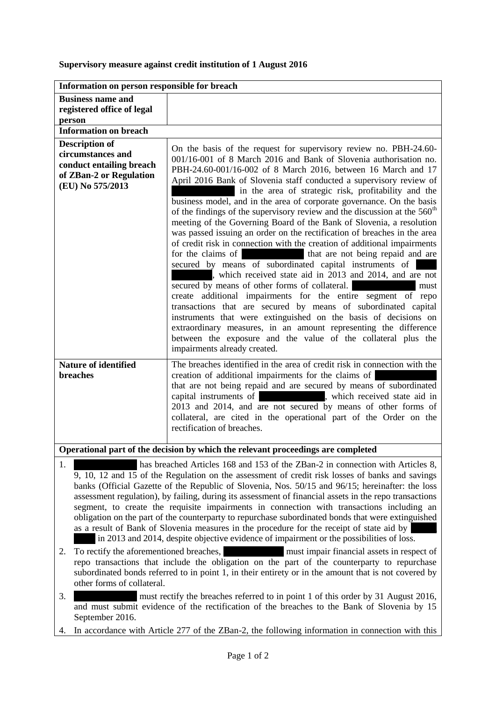## **Supervisory measure against credit institution of 1 August 2016**

| Information on person responsible for breach                                                                                                                                                                                                                                                                                                                                                                                                                                                                                                                                                                                                                                                                                                                                                                                                                                                                                                                                                                                                                                                                                          |                                                                                                                                                                                                     |                                                                                                                                                                                                                                                                                                                                                                                                                                                                                                                                                                                                                                                                                                                                                                                                                                                                                                                                                                                                                                                                                                                                                                                                                                                                                                                                                               |
|---------------------------------------------------------------------------------------------------------------------------------------------------------------------------------------------------------------------------------------------------------------------------------------------------------------------------------------------------------------------------------------------------------------------------------------------------------------------------------------------------------------------------------------------------------------------------------------------------------------------------------------------------------------------------------------------------------------------------------------------------------------------------------------------------------------------------------------------------------------------------------------------------------------------------------------------------------------------------------------------------------------------------------------------------------------------------------------------------------------------------------------|-----------------------------------------------------------------------------------------------------------------------------------------------------------------------------------------------------|---------------------------------------------------------------------------------------------------------------------------------------------------------------------------------------------------------------------------------------------------------------------------------------------------------------------------------------------------------------------------------------------------------------------------------------------------------------------------------------------------------------------------------------------------------------------------------------------------------------------------------------------------------------------------------------------------------------------------------------------------------------------------------------------------------------------------------------------------------------------------------------------------------------------------------------------------------------------------------------------------------------------------------------------------------------------------------------------------------------------------------------------------------------------------------------------------------------------------------------------------------------------------------------------------------------------------------------------------------------|
| <b>Business name and</b><br>person                                                                                                                                                                                                                                                                                                                                                                                                                                                                                                                                                                                                                                                                                                                                                                                                                                                                                                                                                                                                                                                                                                    | registered office of legal                                                                                                                                                                          |                                                                                                                                                                                                                                                                                                                                                                                                                                                                                                                                                                                                                                                                                                                                                                                                                                                                                                                                                                                                                                                                                                                                                                                                                                                                                                                                                               |
| <b>Information on breach</b>                                                                                                                                                                                                                                                                                                                                                                                                                                                                                                                                                                                                                                                                                                                                                                                                                                                                                                                                                                                                                                                                                                          |                                                                                                                                                                                                     |                                                                                                                                                                                                                                                                                                                                                                                                                                                                                                                                                                                                                                                                                                                                                                                                                                                                                                                                                                                                                                                                                                                                                                                                                                                                                                                                                               |
| <b>Description of</b><br>circumstances and<br>(EU) No 575/2013                                                                                                                                                                                                                                                                                                                                                                                                                                                                                                                                                                                                                                                                                                                                                                                                                                                                                                                                                                                                                                                                        | conduct entailing breach<br>of ZBan-2 or Regulation                                                                                                                                                 | On the basis of the request for supervisory review no. PBH-24.60-<br>001/16-001 of 8 March 2016 and Bank of Slovenia authorisation no.<br>PBH-24.60-001/16-002 of 8 March 2016, between 16 March and 17<br>April 2016 Bank of Slovenia staff conducted a supervisory review of<br>in the area of strategic risk, profitability and the<br>business model, and in the area of corporate governance. On the basis<br>of the findings of the supervisory review and the discussion at the 560 <sup>th</sup><br>meeting of the Governing Board of the Bank of Slovenia, a resolution<br>was passed issuing an order on the rectification of breaches in the area<br>of credit risk in connection with the creation of additional impairments<br>that are not being repaid and are<br>for the claims of<br>secured by means of subordinated capital instruments of<br>, which received state aid in 2013 and 2014, and are not<br>secured by means of other forms of collateral.<br>must<br>create additional impairments for the entire segment of repo<br>transactions that are secured by means of subordinated capital<br>instruments that were extinguished on the basis of decisions on<br>extraordinary measures, in an amount representing the difference<br>between the exposure and the value of the collateral plus the<br>impairments already created. |
| <b>Nature of identified</b><br>breaches                                                                                                                                                                                                                                                                                                                                                                                                                                                                                                                                                                                                                                                                                                                                                                                                                                                                                                                                                                                                                                                                                               |                                                                                                                                                                                                     | The breaches identified in the area of credit risk in connection with the<br>creation of additional impairments for the claims of<br>that are not being repaid and are secured by means of subordinated<br>capital instruments of which received state aid in<br>2013 and 2014, and are not secured by means of other forms of<br>collateral, are cited in the operational part of the Order on the<br>rectification of breaches.                                                                                                                                                                                                                                                                                                                                                                                                                                                                                                                                                                                                                                                                                                                                                                                                                                                                                                                             |
| Operational part of the decision by which the relevant proceedings are completed                                                                                                                                                                                                                                                                                                                                                                                                                                                                                                                                                                                                                                                                                                                                                                                                                                                                                                                                                                                                                                                      |                                                                                                                                                                                                     |                                                                                                                                                                                                                                                                                                                                                                                                                                                                                                                                                                                                                                                                                                                                                                                                                                                                                                                                                                                                                                                                                                                                                                                                                                                                                                                                                               |
| has breached Articles 168 and 153 of the ZBan-2 in connection with Articles 8,<br>1.<br>9, 10, 12 and 15 of the Regulation on the assessment of credit risk losses of banks and savings<br>banks (Official Gazette of the Republic of Slovenia, Nos. 50/15 and 96/15; hereinafter: the loss<br>assessment regulation), by failing, during its assessment of financial assets in the repo transactions<br>segment, to create the requisite impairments in connection with transactions including an<br>obligation on the part of the counterparty to repurchase subordinated bonds that were extinguished<br>as a result of Bank of Slovenia measures in the procedure for the receipt of state aid by<br>in 2013 and 2014, despite objective evidence of impairment or the possibilities of loss.<br>To rectify the aforementioned breaches,<br>must impair financial assets in respect of<br>2.<br>repo transactions that include the obligation on the part of the counterparty to repurchase<br>subordinated bonds referred to in point 1, in their entirety or in the amount that is not covered by<br>other forms of collateral. |                                                                                                                                                                                                     |                                                                                                                                                                                                                                                                                                                                                                                                                                                                                                                                                                                                                                                                                                                                                                                                                                                                                                                                                                                                                                                                                                                                                                                                                                                                                                                                                               |
| 3.                                                                                                                                                                                                                                                                                                                                                                                                                                                                                                                                                                                                                                                                                                                                                                                                                                                                                                                                                                                                                                                                                                                                    | must rectify the breaches referred to in point 1 of this order by 31 August 2016,<br>and must submit evidence of the rectification of the breaches to the Bank of Slovenia by 15<br>September 2016. |                                                                                                                                                                                                                                                                                                                                                                                                                                                                                                                                                                                                                                                                                                                                                                                                                                                                                                                                                                                                                                                                                                                                                                                                                                                                                                                                                               |
|                                                                                                                                                                                                                                                                                                                                                                                                                                                                                                                                                                                                                                                                                                                                                                                                                                                                                                                                                                                                                                                                                                                                       |                                                                                                                                                                                                     |                                                                                                                                                                                                                                                                                                                                                                                                                                                                                                                                                                                                                                                                                                                                                                                                                                                                                                                                                                                                                                                                                                                                                                                                                                                                                                                                                               |

4. In accordance with Article 277 of the ZBan-2, the following information in connection with this